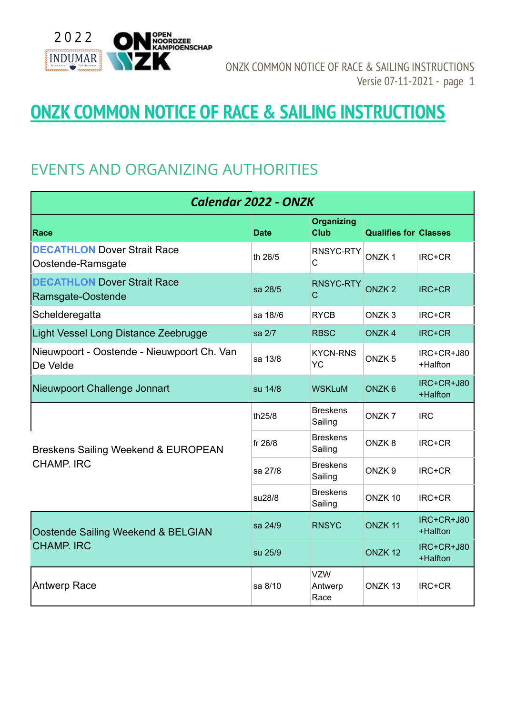

# **ONZK COMMON NOTICE OF RACE & SAILING INSTRUCTIONS**

## EVENTS AND ORGANIZING AUTHORITIES

| <b>Calendar 2022 - ONZK</b>                                    |             |                                  |                              |                        |  |
|----------------------------------------------------------------|-------------|----------------------------------|------------------------------|------------------------|--|
| Race                                                           | <b>Date</b> | <b>Organizing</b><br><b>Club</b> | <b>Qualifies for Classes</b> |                        |  |
| <b>DECATHLON Dover Strait Race</b><br>Oostende-Ramsgate        | th 26/5     | RNSYC-RTY<br>С                   | ONZK <sub>1</sub>            | IRC+CR                 |  |
| <b>DECATHLON Dover Strait Race</b><br>Ramsgate-Oostende        | sa 28/5     | RNSYC-RTY<br>$\mathsf{C}$        | ONZK <sub>2</sub>            | IRC+CR                 |  |
| Schelderegatta                                                 | sa 18//6    | <b>RYCB</b>                      | ONZK <sub>3</sub>            | IRC+CR                 |  |
| Light Vessel Long Distance Zeebrugge                           | sa 2/7      | <b>RBSC</b>                      | ONZK <sub>4</sub>            | IRC+CR                 |  |
| Nieuwpoort - Oostende - Nieuwpoort Ch. Van<br><b>IDe Velde</b> | sa 13/8     | <b>KYCN-RNS</b><br><b>YC</b>     | ONZK <sub>5</sub>            | IRC+CR+J80<br>+Halfton |  |
| Nieuwpoort Challenge Jonnart                                   | su 14/8     | <b>WSKLuM</b>                    | ONZK <sub>6</sub>            | IRC+CR+J80<br>+Halfton |  |
| Breskens Sailing Weekend & EUROPEAN<br><b>CHAMP. IRC</b>       | th25/8      | <b>Breskens</b><br>Sailing       | ONZK7                        | <b>IRC</b>             |  |
|                                                                | fr 26/8     | <b>Breskens</b><br>Sailing       | ONZK8                        | IRC+CR                 |  |
|                                                                | sa 27/8     | <b>Breskens</b><br>Sailing       | ONZK <sub>9</sub>            | IRC+CR                 |  |
|                                                                | su28/8      | <b>Breskens</b><br>Sailing       | ONZK <sub>10</sub>           | IRC+CR                 |  |
| Oostende Sailing Weekend & BELGIAN<br><b>CHAMP. IRC</b>        | sa 24/9     | <b>RNSYC</b>                     | ONZK <sub>11</sub>           | IRC+CR+J80<br>+Halfton |  |
|                                                                | su 25/9     |                                  | ONZK <sub>12</sub>           | IRC+CR+J80<br>+Halfton |  |
| <b>Antwerp Race</b>                                            | sa 8/10     | <b>VZW</b><br>Antwerp<br>Race    | ONZK <sub>13</sub>           | IRC+CR                 |  |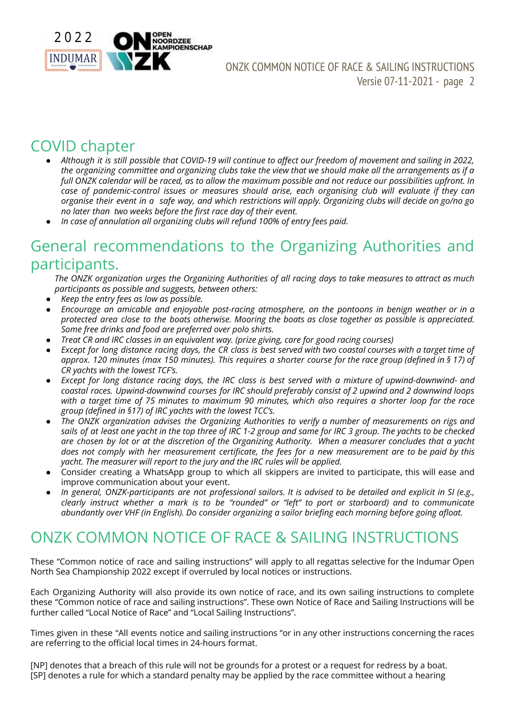

## COVID chapter

- Although it is still possible that COVID-19 will continue to affect our freedom of movement and sailing in 2022, the organizing committee and organizing clubs take the view that we should make all the arrangements as if a full ONZK calendar will be raced, as to allow the maximum possible and not reduce our possibilities upfront. In *case of pandemic-control issues or measures should arise, each organising club will evaluate if they can* organise their event in a safe way, and which restrictions will apply. Organizing clubs will decide on go/no go *no later than two weeks before the first race day of their event.*
- *● In case of annulation all organizing clubs will refund 100% of entry fees paid.*

### General recommendations to the Organizing Authorities and participants.

The ONZK organization urges the Organizing Authorities of all racing days to take measures to attract as much *participants as possible and suggests, between others:*

- *Keep the entry fees as low as possible.*
- *Encourage an amicable and enjoyable post-racing atmosphere, on the pontoons in benign weather or in a* protected area close to the boats otherwise. Mooring the boats as close together as possible is appreciated. *Some free drinks and food are preferred over polo shirts.*
- *Treat CR and IRC classes in an equivalent way. (prize giving, care for good racing courses)*
- Except for long distance racing days, the CR class is best served with two coastal courses with a target time of approx. 120 minutes (max 150 minutes). This requires a shorter course for the race group (defined in § 17) of *CR yachts with the lowest TCF's.*
- Except for long distance racing days, the IRC class is best served with a mixture of upwind-downwind- and *coastal races. Upwind-downwind courses for IRC should preferably consist of 2 upwind and 2 downwind loops* with a target time of 75 minutes to maximum 90 minutes, which also requires a shorter loop for the race *group (defined in §17) of IRC yachts with the lowest TCC's.*
- *The ONZK organization advises the Organizing Authorities to verify a number of measurements on rigs and* sails of at least one yacht in the top three of IRC 1-2 group and same for IRC 3 group. The yachts to be checked are chosen by lot or at the discretion of the Organizing Authority. When a measurer concludes that a yacht does not comply with her measurement certificate, the fees for a new measurement are to be paid by this *yacht. The measurer will report to the jury and the IRC rules will be applied.*
- Consider creating a WhatsApp group to which all skippers are invited to participate, this will ease and improve communication about your event.
- In general, ONZK-participants are not professional sailors. It is advised to be detailed and explicit in SI (e.g., clearly instruct whether a mark is to be "rounded" or "left" to port or starboard) and to communicate *abundantly over VHF (in English). Do consider organizing a sailor briefing each morning before going afloat.*

## ONZK COMMON NOTICE OF RACE & SAILING INSTRUCTIONS

These "Common notice of race and sailing instructions" will apply to all regattas selective for the Indumar Open North Sea Championship 2022 except if overruled by local notices or instructions.

Each Organizing Authority will also provide its own notice of race, and its own sailing instructions to complete these "Common notice of race and sailing instructions". These own Notice of Race and Sailing Instructions will be further called "Local Notice of Race" and "Local Sailing Instructions".

Times given in these "All events notice and sailing instructions "or in any other instructions concerning the races are referring to the official local times in 24-hours format.

[NP] denotes that a breach of this rule will not be grounds for a protest or a request for redress by a boat. [SP] denotes a rule for which a standard penalty may be applied by the race committee without a hearing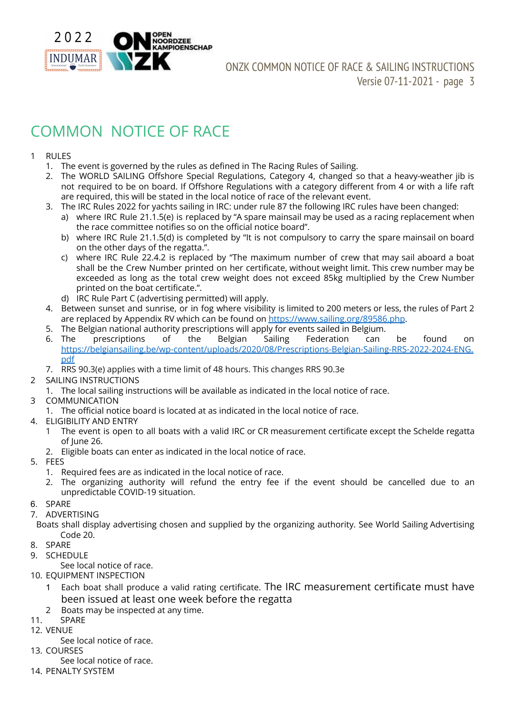

## COMMON NOTICE OF RACE

#### 1 RULES

- 1. The event is governed by the rules as defined in The Racing Rules of Sailing.
- 2. The WORLD SAILING Offshore Special Regulations, Category 4, changed so that a heavy-weather jib is not required to be on board. If Offshore Regulations with a category different from 4 or with a life raft are required, this will be stated in the local notice of race of the relevant event.
- 3. The IRC Rules 2022 for yachts sailing in IRC: under rule 87 the following IRC rules have been changed:
	- a) where IRC Rule 21.1.5(e) is replaced by "A spare mainsail may be used as a racing replacement when the race committee notifies so on the official notice board".
		- b) where IRC Rule 21.1.5(d) is completed by "It is not compulsory to carry the spare mainsail on board on the other days of the regatta.".
		- c) where IRC Rule 22.4.2 is replaced by "The maximum number of crew that may sail aboard a boat shall be the Crew Number printed on her certificate, without weight limit. This crew number may be exceeded as long as the total crew weight does not exceed 85kg multiplied by the Crew Number printed on the boat certificate.".
	- d) IRC Rule Part C (advertising permitted) will apply.
- 4. Between sunset and sunrise, or in fog where visibility is limited to 200 meters or less, the rules of Part 2 are replaced by Appendix RV which can be found on <https://www.sailing.org/89586.php>.
- 5. The Belgian national authority prescriptions will apply for events sailed in Belgium.
- 6. The prescriptions of the Belgian Sailing Federation can be found on [https://belgiansailing.be/wp-content/uploads/2020/08/Prescriptions-Belgian-Sailing-RRS-2022-2024-ENG.](https://belgiansailing.be/wp-content/uploads/2020/08/Prescriptions-Belgian-Sailing-RRS-2021-2024-ENG.pdf) [pdf](https://belgiansailing.be/wp-content/uploads/2020/08/Prescriptions-Belgian-Sailing-RRS-2021-2024-ENG.pdf)
- 7. RRS 90.3(e) applies with a time limit of 48 hours. This changes RRS 90.3e
- 2 SAILING INSTRUCTIONS
	- 1. The local sailing instructions will be available as indicated in the local notice of race.
- 3 COMMUNICATION
	- 1. The official notice board is located at as indicated in the local notice of race.
- 4. ELIGIBILITY AND ENTRY
	- 1 The event is open to all boats with a valid IRC or CR measurement certificate except the Schelde regatta of June 26.
	- 2. Eligible boats can enter as indicated in the local notice of race.
- 5. FEES
	- 1. Required fees are as indicated in the local notice of race.
	- 2. The organizing authority will refund the entry fee if the event should be cancelled due to an unpredictable COVID-19 situation.
- 6. SPARE
- 7. ADVERTISING

Boats shall display advertising chosen and supplied by the organizing authority. See World Sailing Advertising Code 20.

- 8. SPARE
- 9. SCHEDULE
	- See local notice of race.
- 10. EQUIPMENT INSPECTION
	- 1 Each boat shall produce a valid rating certificate. The IRC measurement certificate must have been issued at least one week before the regatta
	- 2 Boats may be inspected at any time.
- 11. SPARE
- 12. VENUE
- See local notice of race.
- 13. COURSES
	- See local notice of race.
- 14. PENALTY SYSTEM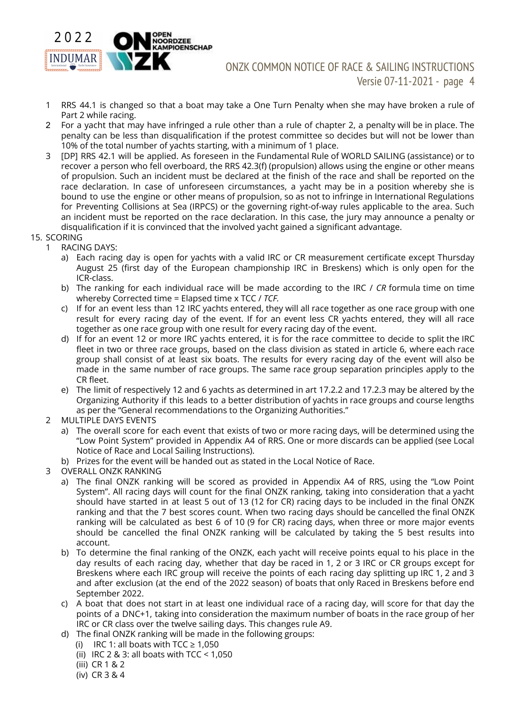

- 1 RRS 44.1 is changed so that a boat may take a One Turn Penalty when she may have broken a rule of Part 2 while racing.
- 2 For a yacht that may have infringed a rule other than a rule of chapter 2, a penalty will be in place. The penalty can be less than disqualification if the protest committee so decides but will not be lower than 10% of the total number of yachts starting, with a minimum of 1 place.
- 3 [DP] RRS 42.1 will be applied. As foreseen in the Fundamental Rule of WORLD SAILING (assistance) or to recover a person who fell overboard, the RRS 42.3(f) (propulsion) allows using the engine or other means of propulsion. Such an incident must be declared at the finish of the race and shall be reported on the race declaration. In case of unforeseen circumstances, a yacht may be in a position whereby she is bound to use the engine or other means of propulsion, so as not to infringe in International Regulations for Preventing Collisions at Sea (IRPCS) or the governing right-of-way rules applicable to the area. Such an incident must be reported on the race declaration. In this case, the jury may announce a penalty or disqualification if it is convinced that the involved yacht gained a significant advantage.
- 15. SCORING
	- 1 RACING DAYS:
		- a) Each racing day is open for yachts with a valid IRC or CR measurement certificate except Thursday August 25 (first day of the European championship IRC in Breskens) which is only open for the ICR-class.
		- b) The ranking for each individual race will be made according to the IRC / *CR* formula time on time whereby Corrected time = Elapsed time x TCC / *TCF.*
		- c) If for an event less than 12 IRC yachts entered, they will all race together as one race group with one result for every racing day of the event. If for an event less CR yachts entered, they will all race together as one race group with one result for every racing day of the event.
		- d) If for an event 12 or more IRC yachts entered, it is for the race committee to decide to split the IRC fleet in two or three race groups, based on the class division as stated in article 6, where each race group shall consist of at least six boats. The results for every racing day of the event will also be made in the same number of race groups. The same race group separation principles apply to the CR fleet.
		- e) The limit of respectively 12 and 6 yachts as determined in art 17.2.2 and 17.2.3 may be altered by the Organizing Authority if this leads to a better distribution of yachts in race groups and course lengths as per the "General recommendations to the Organizing Authorities."
	- 2 MULTIPLE DAYS EVENTS
		- a) The overall score for each event that exists of two or more racing days, will be determined using the "Low Point System" provided in Appendix A4 of RRS. One or more discards can be applied (see Local Notice of Race and Local Sailing Instructions).
		- b) Prizes for the event will be handed out as stated in the Local Notice of Race.
	- 3 OVERALL ONZK RANKING
		- a) The final ONZK ranking will be scored as provided in Appendix A4 of RRS, using the "Low Point System". All racing days will count for the final ONZK ranking, taking into consideration that a yacht should have started in at least 5 out of 13 (12 for CR) racing days to be included in the final ONZK ranking and that the 7 best scores count. When two racing days should be cancelled the final ONZK ranking will be calculated as best 6 of 10 (9 for CR) racing days, when three or more major events should be cancelled the final ONZK ranking will be calculated by taking the 5 best results into account.
		- b) To determine the final ranking of the ONZK, each yacht will receive points equal to his place in the day results of each racing day, whether that day be raced in 1, 2 or 3 IRC or CR groups except for Breskens where each IRC group will receive the points of each racing day splitting up IRC 1, 2 and 3 and after exclusion (at the end of the 2022 season) of boats that only Raced in Breskens before end September 2022.
		- c) A boat that does not start in at least one individual race of a racing day, will score for that day the points of a DNC+1, taking into consideration the maximum number of boats in the race group of her IRC or CR class over the twelve sailing days. This changes rule A9.
		- d) The final ONZK ranking will be made in the following groups:
			- (i) IRC 1: all boats with  $TCC \ge 1.050$
			- (ii) IRC 2 & 3: all boats with  $TCC < 1,050$
			- (iii) CR 1 & 2
			- (iv) CR 3 & 4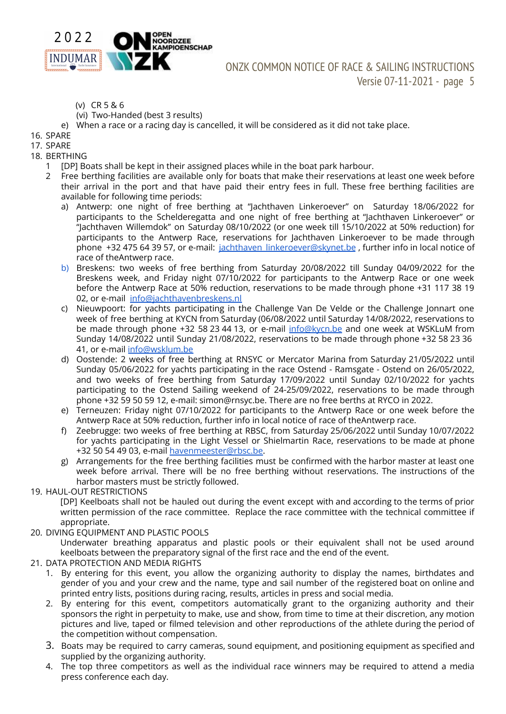

- (v) CR 5 & 6
- (vi) Two-Handed (best 3 results)
- e) When a race or a racing day is cancelled, it will be considered as it did not take place.
- 16. SPARE
- 17. SPARE
- 18. BERTHING
	- 1 [DP] Boats shall be kept in their assigned places while in the boat park harbour.
	- 2 Free berthing facilities are available only for boats that make their reservations at least one week before their arrival in the port and that have paid their entry fees in full. These free berthing facilities are available for following time periods:
		- a) Antwerp: one night of free berthing at "Jachthaven Linkeroever" on Saturday 18/06/2022 for participants to the Schelderegatta and one night of free berthing at "Jachthaven Linkeroever" or "Jachthaven Willemdok" on Saturday 08/10/2022 (or one week till 15/10/2022 at 50% reduction) for participants to the Antwerp Race, reservations for Jachthaven Linkeroever to be made through phone +32 475 64 39 57, or e-mail: [jachthaven\\_linkeroever@skynet.be](mailto:jachthaven_linkeroever@skynet.be) , further info in local notice of race of theAntwerp race.
		- b) Breskens: two weeks of free berthing from Saturday 20/08/2022 till Sunday 04/09/2022 for the Breskens week, and Friday night 07/10/2022 for participants to the Antwerp Race or one week before the Antwerp Race at 50% reduction, reservations to be made through phone +31 117 38 19 02, or e-mail [info@jachthavenbreskens.nl](mailto:info@jachthavenbreskens.nl)
		- c) Nieuwpoort: for yachts participating in the Challenge Van De Velde or the Challenge Jonnart one week of free berthing at KYCN from Saturday (06/08/2022 until Saturday 14/08/2022, reservations to be made through phone +32 58 23 44 13, or e-mail [info@kycn.be](mailto:info@kycn.be) and one week at WSKLuM from Sunday 14/08/2022 until Sunday 21/08/2022, reservations to be made through phone +32 58 23 36 41, or e-mail [info@wsklum.be](mailto:info@wsklum.be)
		- d) Oostende: 2 weeks of free berthing at RNSYC or Mercator Marina from Saturday 21/05/2022 until Sunday 05/06/2022 for yachts participating in the race Ostend - Ramsgate - Ostend on 26/05/2022, and two weeks of free berthing from Saturday 17/09/2022 until Sunday 02/10/2022 for yachts participating to the Ostend Sailing weekend of 24-25/09/2022, reservations to be made through phone +32 59 50 59 12, e-mail: simon@rnsyc.be. There are no free berths at RYCO in 2022.
		- e) Terneuzen: Friday night 07/10/2022 for participants to the Antwerp Race or one week before the Antwerp Race at 50% reduction, further info in local notice of race of theAntwerp race.
		- f) Zeebrugge: two weeks of free berthing at RBSC, from Saturday 25/06/2022 until Sunday 10/07/2022 for yachts participating in the Light Vessel or Shielmartin Race, reservations to be made at phone +32 50 54 49 03, e-mail [havenmeester@rbsc.be.](mailto:havenmeester@rbsc.be)
		- g) Arrangements for the free berthing facilities must be confirmed with the harbor master at least one week before arrival. There will be no free berthing without reservations. The instructions of the harbor masters must be strictly followed.
- 19. HAUL-OUT RESTRICTIONS

[DP] Keelboats shall not be hauled out during the event except with and according to the terms of prior written permission of the race committee. Replace the race committee with the technical committee if appropriate.

20. DIVING EQUIPMENT AND PLASTIC POOLS

Underwater breathing apparatus and plastic pools or their equivalent shall not be used around keelboats between the preparatory signal of the first race and the end of the event.

- 21. DATA PROTECTION AND MEDIA RIGHTS
	- 1. By entering for this event, you allow the organizing authority to display the names, birthdates and gender of you and your crew and the name, type and sail number of the registered boat on online and printed entry lists, positions during racing, results, articles in press and social media.
	- 2. By entering for this event, competitors automatically grant to the organizing authority and their sponsors the right in perpetuity to make, use and show, from time to time at their discretion, any motion pictures and live, taped or filmed television and other reproductions of the athlete during the period of the competition without compensation.
	- 3. Boats may be required to carry cameras, sound equipment, and positioning equipment as specified and supplied by the organizing authority.
	- 4. The top three competitors as well as the individual race winners may be required to attend a media press conference each day.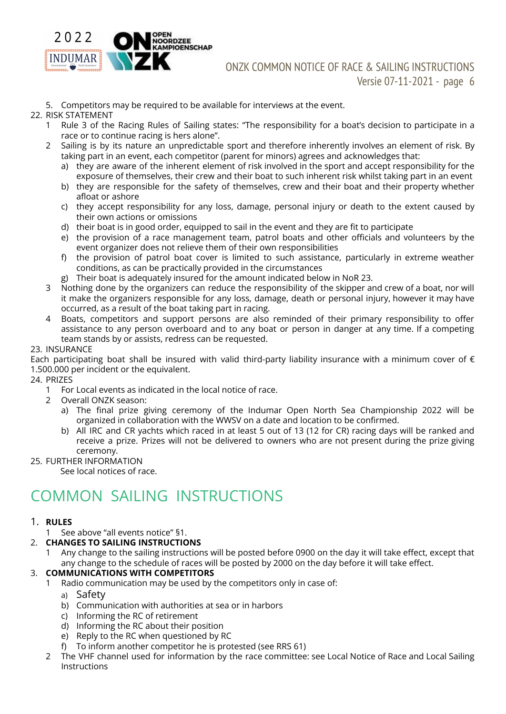

#### 5. Competitors may be required to be available for interviews at the event.

#### 22. RISK STATEMENT

- 1 Rule 3 of the Racing Rules of Sailing states: "The responsibility for a boat's decision to participate in a race or to continue racing is hers alone".
- 2 Sailing is by its nature an unpredictable sport and therefore inherently involves an element of risk. By taking part in an event, each competitor (parent for minors) agrees and acknowledges that:
	- a) they are aware of the inherent element of risk involved in the sport and accept responsibility for the exposure of themselves, their crew and their boat to such inherent risk whilst taking part in an event
	- b) they are responsible for the safety of themselves, crew and their boat and their property whether afloat or ashore
	- c) they accept responsibility for any loss, damage, personal injury or death to the extent caused by their own actions or omissions
	- d) their boat is in good order, equipped to sail in the event and they are fit to participate
	- e) the provision of a race management team, patrol boats and other officials and volunteers by the event organizer does not relieve them of their own responsibilities
	- f) the provision of patrol boat cover is limited to such assistance, particularly in extreme weather conditions, as can be practically provided in the circumstances
	- g) Their boat is adequately insured for the amount indicated below in NoR 23.
- 3 Nothing done by the organizers can reduce the responsibility of the skipper and crew of a boat, nor will it make the organizers responsible for any loss, damage, death or personal injury, however it may have occurred, as a result of the boat taking part in racing.
- 4 Boats, competitors and support persons are also reminded of their primary responsibility to offer assistance to any person overboard and to any boat or person in danger at any time. If a competing team stands by or assists, redress can be requested.

#### 23. INSURANCE

Each participating boat shall be insured with valid third-party liability insurance with a minimum cover of  $\epsilon$ 1.500.000 per incident or the equivalent.

#### 24. PRIZES

- 1 For Local events as indicated in the local notice of race.
- 2 Overall ONZK season:
	- a) The final prize giving ceremony of the Indumar Open North Sea Championship 2022 will be organized in collaboration with the WWSV on a date and location to be confirmed.
	- b) All IRC and CR yachts which raced in at least 5 out of 13 (12 for CR) racing days will be ranked and receive a prize. Prizes will not be delivered to owners who are not present during the prize giving ceremony.

#### 25. FURTHER INFORMATION

See local notices of race.

## COMMON SAILING INSTRUCTIONS

#### 1. **RULES**

- 1 See above "all events notice" §1.
- 2. **CHANGES TO SAILING INSTRUCTIONS**
	- 1 Any change to the sailing instructions will be posted before 0900 on the day it will take effect, except that any change to the schedule of races will be posted by 2000 on the day before it will take effect.

#### 3. **COMMUNICATIONS WITH COMPETITORS**

- 1 Radio communication may be used by the competitors only in case of:
	- a) Safety
	- b) Communication with authorities at sea or in harbors
	- c) Informing the RC of retirement
	- d) Informing the RC about their position
	- e) Reply to the RC when questioned by RC
	- f) To inform another competitor he is protested (see RRS 61)
- 2 The VHF channel used for information by the race committee: see Local Notice of Race and Local Sailing Instructions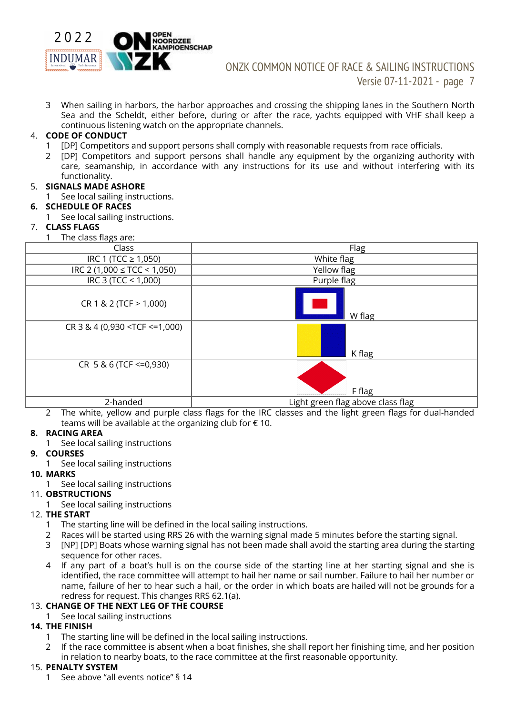

3 When sailing in harbors, the harbor approaches and crossing the shipping lanes in the Southern North Sea and the Scheldt, either before, during or after the race, yachts equipped with VHF shall keep a continuous listening watch on the appropriate channels.

#### 4. **CODE OF CONDUCT**

- 1 [DP] Competitors and support persons shall comply with reasonable requests from race officials.
- 2 [DP] Competitors and support persons shall handle any equipment by the organizing authority with care, seamanship, in accordance with any instructions for its use and without interfering with its functionality.

#### 5. **SIGNALS MADE ASHORE**

1 See local sailing instructions.

#### **6. SCHEDULE OF RACES**

1 See local sailing instructions.

#### 7. **CLASS FLAGS**

1 The class flags are:

| Class                                                          | Flag                              |  |  |
|----------------------------------------------------------------|-----------------------------------|--|--|
| IRC 1 (TCC $\geq$ 1,050)                                       | White flag                        |  |  |
| IRC 2 (1,000 $\leq$ TCC $\leq$ 1,050)                          | Yellow flag                       |  |  |
| IRC 3 (TCC < 1,000)                                            | Purple flag                       |  |  |
| CR 1 & 2 (TCF > 1,000)                                         | W flag                            |  |  |
| $CR$ 3 & 4 (0,930 <tcf <="1,000)&lt;/td"><td>K flag</td></tcf> | K flag                            |  |  |
| CR 5 & 6 (TCF <= 0,930)                                        | F flag                            |  |  |
| 2-handed                                                       | Light green flag above class flag |  |  |

2 The white, yellow and purple class flags for the IRC classes and the light green flags for dual-handed teams will be available at the organizing club for  $\epsilon$  10.

#### **8. RACING AREA**

1 See local sailing instructions

#### **9. COURSES**

1 See local sailing instructions

#### **10. MARKS**

1 See local sailing instructions

#### 11. **OBSTRUCTIONS**

See local sailing instructions

#### 12. **THE START**

- 1 The starting line will be defined in the local sailing instructions.
- 2 Races will be started using RRS 26 with the warning signal made 5 minutes before the starting signal.
- 3 [NP] [DP] Boats whose warning signal has not been made shall avoid the starting area during the starting sequence for other races.
- 4 If any part of a boat's hull is on the course side of the starting line at her starting signal and she is identified, the race committee will attempt to hail her name or sail number. Failure to hail her number or name, failure of her to hear such a hail, or the order in which boats are hailed will not be grounds for a redress for request. This changes RRS 62.1(a).

#### 13. **CHANGE OF THE NEXT LEG OF THE COURSE**

1 See local sailing instructions

#### **14. THE FINISH**

- 1 The starting line will be defined in the local sailing instructions.
- 2 If the race committee is absent when a boat finishes, she shall report her finishing time, and her position in relation to nearby boats, to the race committee at the first reasonable opportunity.

#### 15. **PENALTY SYSTEM**

1 See above "all events notice" § 14